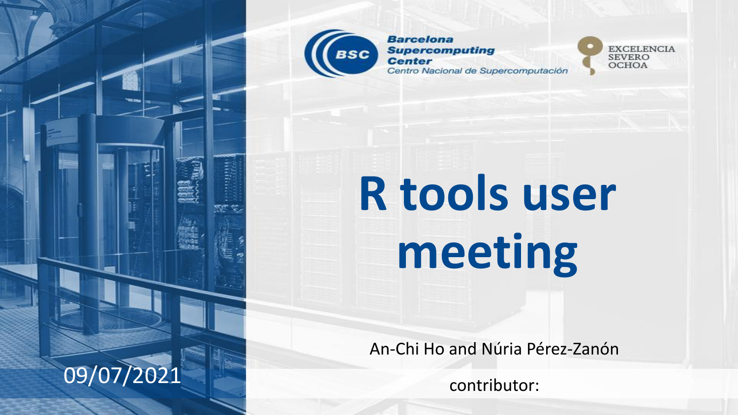

**Barcelona Supercomputing Center** Centro Nacional de Supercomputación



# **R tools user** meeting

An-Chi Ho and Núria Pérez-Zanón

contributor:

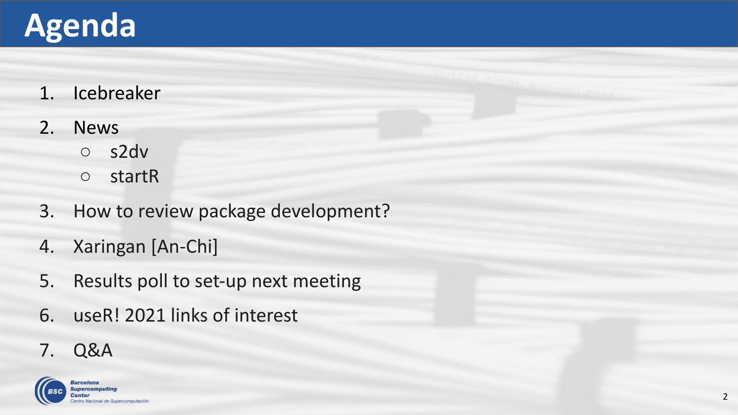### **Agenda**

- 1. Icebreaker
- 2. News
	- s2dv
	- startR
- 3. How to review package development?
- 4. Xaringan [An-Chi]
- 5. Results poll to set-up next meeting
- 6. useR! 2021 links of interest
- 7. Q&A

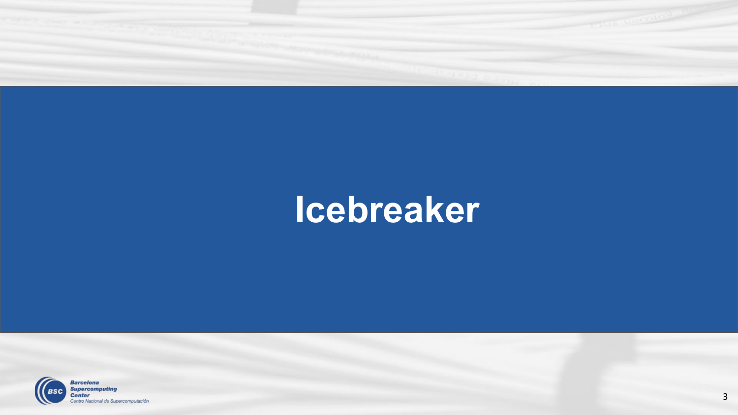

### **Icebreaker**

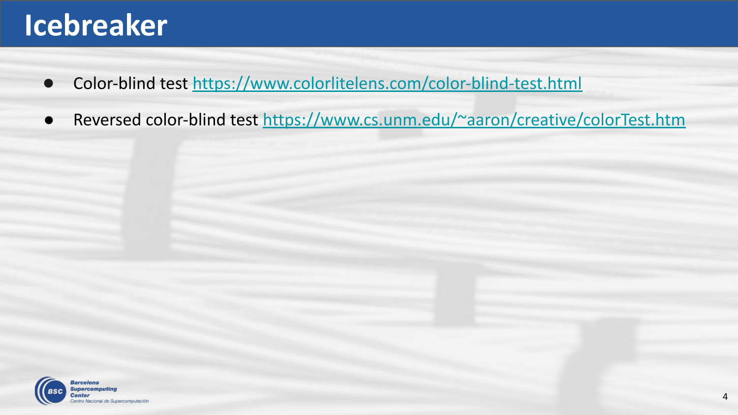#### **Icebreaker**

- Color-blind test <https://www.colorlitelens.com/color-blind-test.html>
- Reversed color-blind test<https://www.cs.unm.edu/~aaron/creative/colorTest.htm>

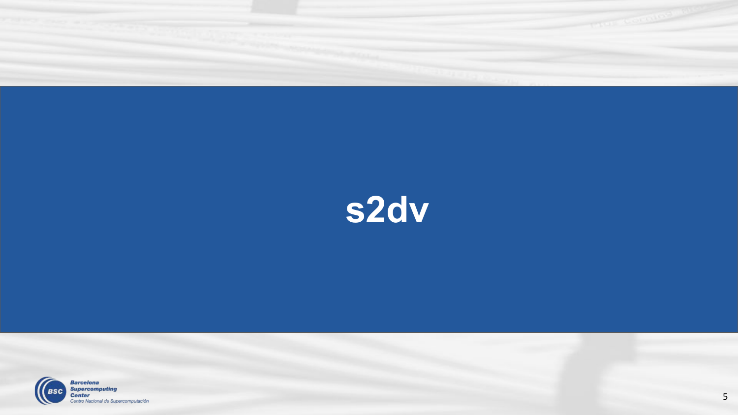

## s2dv

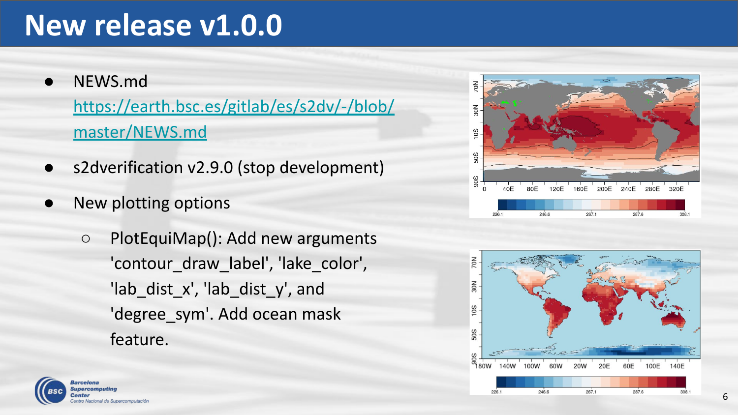#### **New release v1.0.0**

- NEWS.md [https://earth.bsc.es/gitlab/es/s2dv/-/blob/](https://earth.bsc.es/gitlab/es/s2dv/-/blob/master/NEWS.md) [master/NEWS.md](https://earth.bsc.es/gitlab/es/s2dv/-/blob/master/NEWS.md)
- s2dverification v2.9.0 (stop development)
- New plotting options
	- PlotEquiMap(): Add new arguments 'contour\_draw\_label', 'lake\_color', 'lab\_dist\_x', 'lab\_dist\_y', and 'degree\_sym'. Add ocean mask feature.





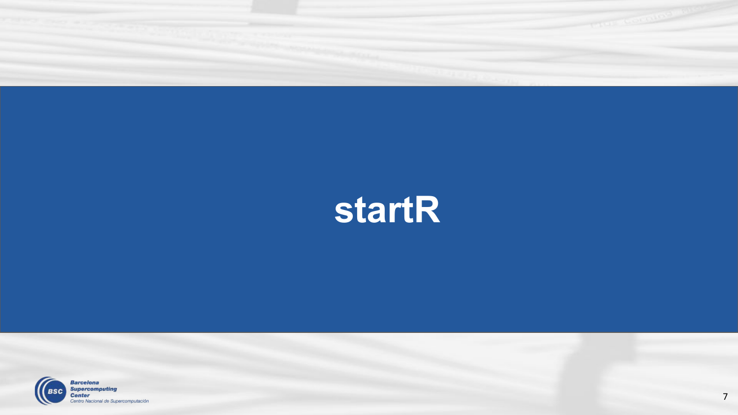

## **startR**

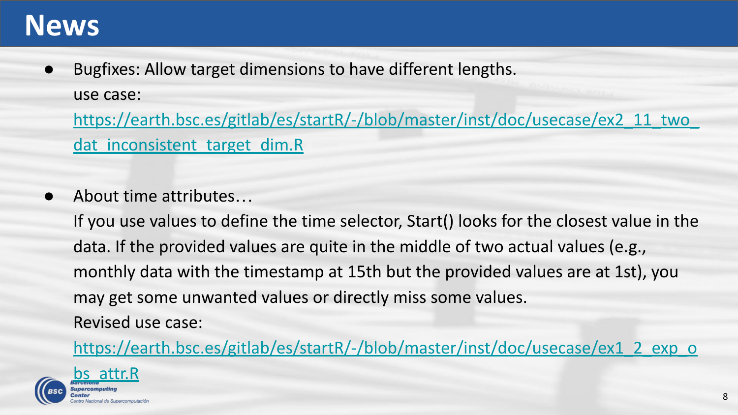#### **News**

● Bugfixes: Allow target dimensions to have different lengths. use case:

[https://earth.bsc.es/gitlab/es/startR/-/blob/master/inst/doc/usecase/ex2\\_11\\_two\\_](https://earth.bsc.es/gitlab/es/startR/-/blob/master/inst/doc/usecase/ex2_11_two_dat_inconsistent_target_dim.R) dat inconsistent target dim.R

● About time attributes...

If you use values to define the time selector, Start() looks for the closest value in the data. If the provided values are quite in the middle of two actual values (e.g., monthly data with the timestamp at 15th but the provided values are at 1st), you may get some unwanted values or directly miss some values. Revised use case:

[https://earth.bsc.es/gitlab/es/startR/-/blob/master/inst/doc/usecase/ex1\\_2\\_exp\\_o](https://earth.bsc.es/gitlab/es/startR/-/blob/master/inst/doc/usecase/ex1_2_exp_obs_attr.R)

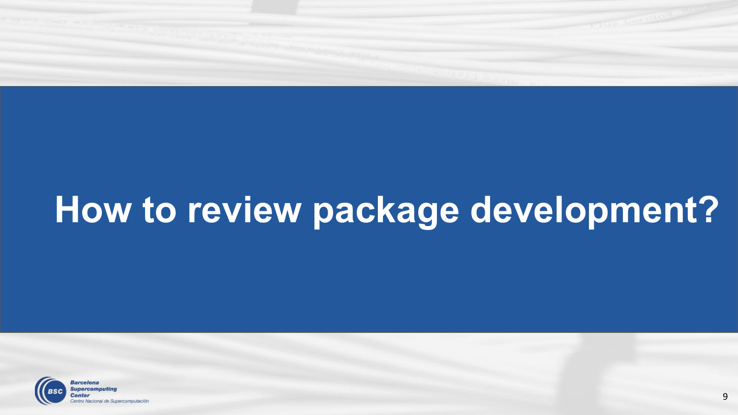

# **How to review package development?**

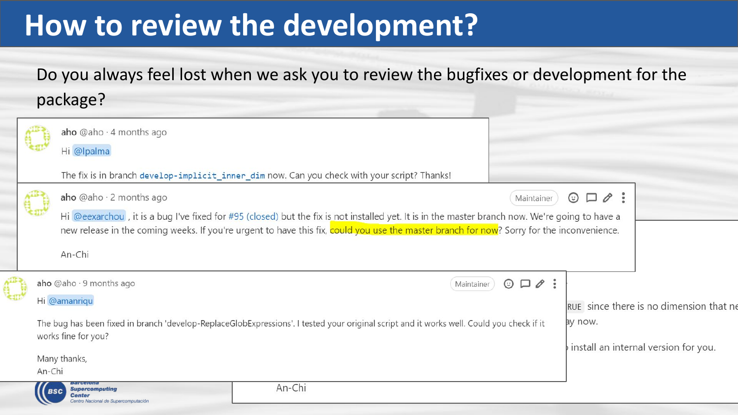#### **How to review the development?**

Ç

Do you always feel lost when we ask you to review the bugfixes or development for the package?

|                                                                                                                                                                  | aho @aho · 4 months ago<br>Hi @lpalma                                                                                                                                                                                                                                                                                                                                   |        |            |                                                                                           |  |  |
|------------------------------------------------------------------------------------------------------------------------------------------------------------------|-------------------------------------------------------------------------------------------------------------------------------------------------------------------------------------------------------------------------------------------------------------------------------------------------------------------------------------------------------------------------|--------|------------|-------------------------------------------------------------------------------------------|--|--|
|                                                                                                                                                                  | The fix is in branch develop-implicit_inner_dim now. Can you check with your script? Thanks!                                                                                                                                                                                                                                                                            |        |            |                                                                                           |  |  |
|                                                                                                                                                                  | aho @aho · 2 months ago<br>$\Box$ $\emptyset$ :<br>$\odot$<br>Maintainer<br>Hi @eexarchou, it is a bug I've fixed for #95 (closed) but the fix is not installed yet. It is in the master branch now. We're going to have a<br>new release in the coming weeks. If you're urgent to have this fix, could you use the master branch for now? Sorry for the inconvenience. |        |            |                                                                                           |  |  |
|                                                                                                                                                                  | An-Chi                                                                                                                                                                                                                                                                                                                                                                  |        |            |                                                                                           |  |  |
|                                                                                                                                                                  | aho $@$ aho $\cdot$ 9 months ago<br>Hi @amanriqu                                                                                                                                                                                                                                                                                                                        |        | Maintainer | $\emptyset$ :<br>$\odot$ $\square$                                                        |  |  |
| The bug has been fixed in branch 'develop-ReplaceGlobExpressions'. I tested your original script and it works well. Could you check if it<br>works fine for you? |                                                                                                                                                                                                                                                                                                                                                                         |        |            | RUE since there is no dimension that n<br>ay now.<br>install an internal version for you. |  |  |
| An-Chi                                                                                                                                                           | Many thanks,                                                                                                                                                                                                                                                                                                                                                            |        |            |                                                                                           |  |  |
| <b>BSC</b>                                                                                                                                                       | <b>Supercomputing</b><br><b>Center</b><br>Centro Nacional de Supercomo dación                                                                                                                                                                                                                                                                                           | An-Chi |            |                                                                                           |  |  |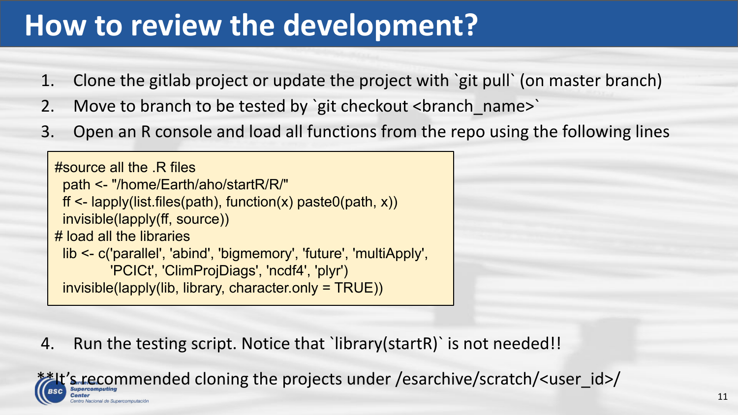#### **How to review the development?**

- 1. Clone the gitlab project or update the project with `git pull` (on master branch)
- 2. Move to branch to be tested by `git checkout <br />branch\_name>`
- 3. Open an R console and load all functions from the repo using the following lines

```
#source all the .R files
  path <- "/home/Earth/aho/startR/R/"
 ff \leq- lapply(list.files(path), function(x) paste0(path, x))
  invisible(lapply(ff, source))
# load all the libraries
  lib <- c('parallel', 'abind', 'bigmemory', 'future', 'multiApply', 
          'PCICt', 'ClimProjDiags', 'ncdf4', 'plyr')
  invisible(lapply(lib, library, character.only = TRUE))
```
4. Run the testing script. Notice that `library(startR)` is not needed!!

\*\*It's recommended cloning the projects under /esarchive/scratch/<user\_id>/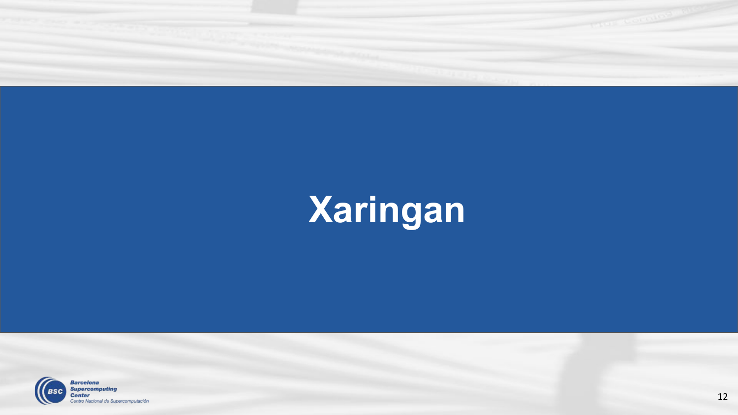

# **Xaringan**

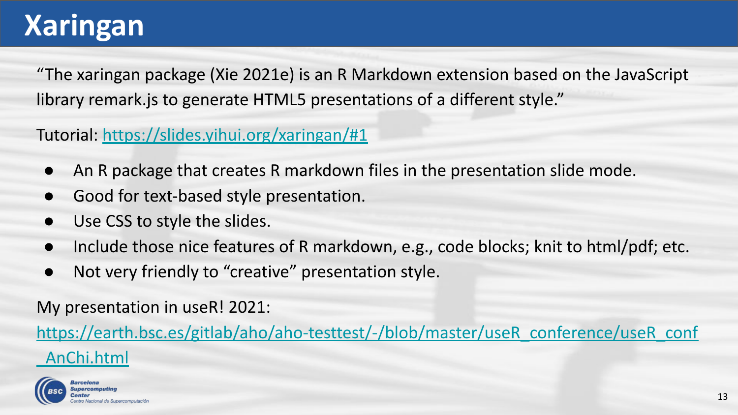#### **Xaringan**

"The xaringan package (Xie 2021e) is an R Markdown extension based on the JavaScript library remark.js to generate HTML5 presentations of a different style."

Tutorial: <https://slides.yihui.org/xaringan/#1>

- An R package that creates R markdown files in the presentation slide mode.
- Good for text-based style presentation.
- Use CSS to style the slides.
- Include those nice features of R markdown, e.g., code blocks; knit to html/pdf; etc.
- Not very friendly to "creative" presentation style.

My presentation in useR! 2021:

[https://earth.bsc.es/gitlab/aho/aho-testtest/-/blob/master/useR\\_conference/useR\\_conf](https://earth.bsc.es/gitlab/aho/aho-testtest/-/blob/master/useR_conference/useR_conf_AnChi.html) [\\_AnChi.html](https://earth.bsc.es/gitlab/aho/aho-testtest/-/blob/master/useR_conference/useR_conf_AnChi.html)